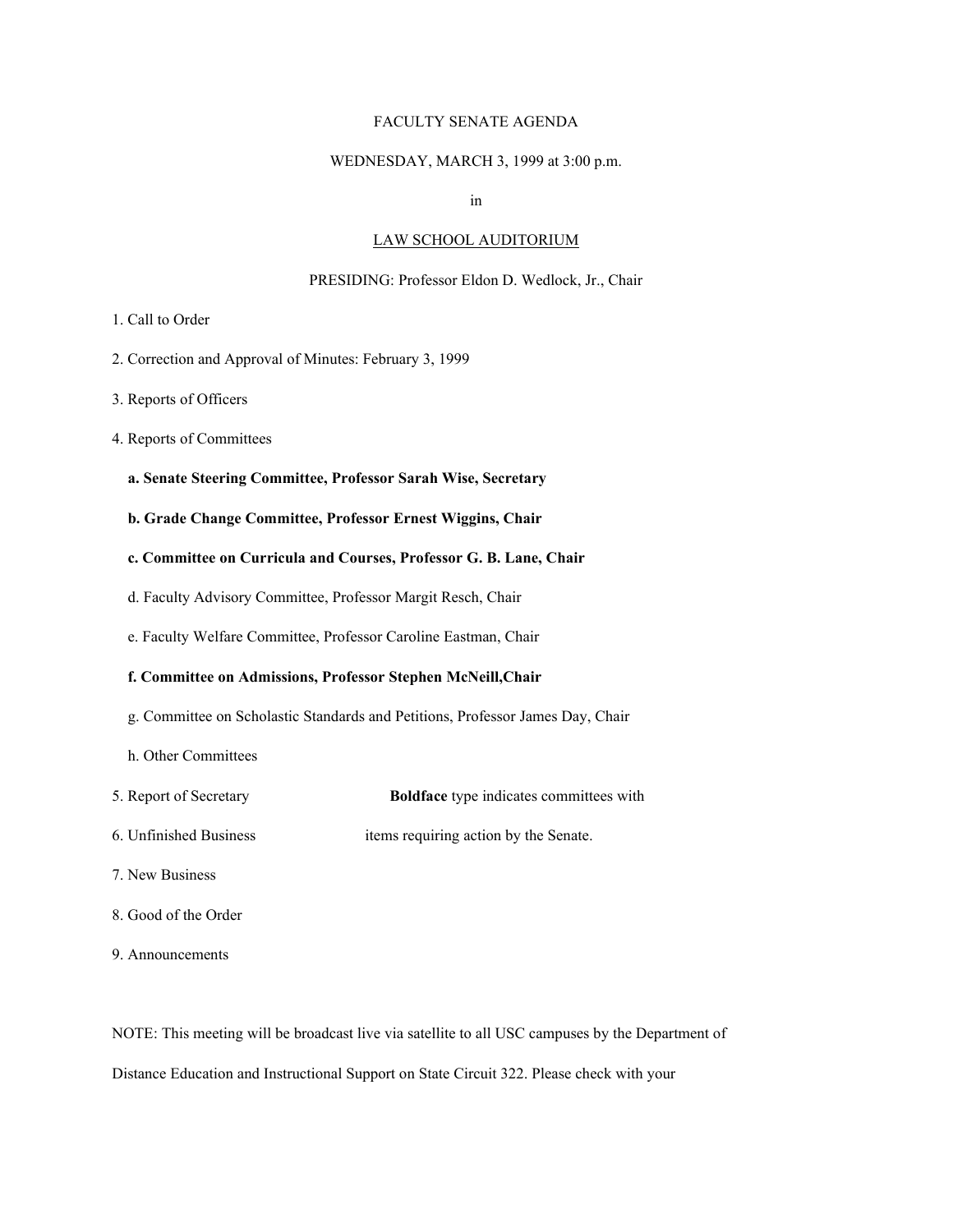### FACULTY SENATE AGENDA

#### WEDNESDAY, MARCH 3, 1999 at 3:00 p.m.

in

#### LAW SCHOOL AUDITORIUM

#### PRESIDING: Professor Eldon D. Wedlock, Jr., Chair

- 1. Call to Order
- 2. Correction and Approval of Minutes: February 3, 1999
- 3. Reports of Officers
- 4. Reports of Committees
	- **a. Senate Steering Committee, Professor Sarah Wise, Secretary**
	- **b. Grade Change Committee, Professor Ernest Wiggins, Chair**
	- **c. Committee on Curricula and Courses, Professor G. B. Lane, Chair**
	- d. Faculty Advisory Committee, Professor Margit Resch, Chair
	- e. Faculty Welfare Committee, Professor Caroline Eastman, Chair

#### **f. Committee on Admissions, Professor Stephen McNeill,Chair**

- g. Committee on Scholastic Standards and Petitions, Professor James Day, Chair
- h. Other Committees
- 5. Report of Secretary **Boldface** type indicates committees with
- 6. Unfinished Business items requiring action by the Senate.
- 7. New Business
- 8. Good of the Order
- 9. Announcements

NOTE: This meeting will be broadcast live via satellite to all USC campuses by the Department of Distance Education and Instructional Support on State Circuit 322. Please check with your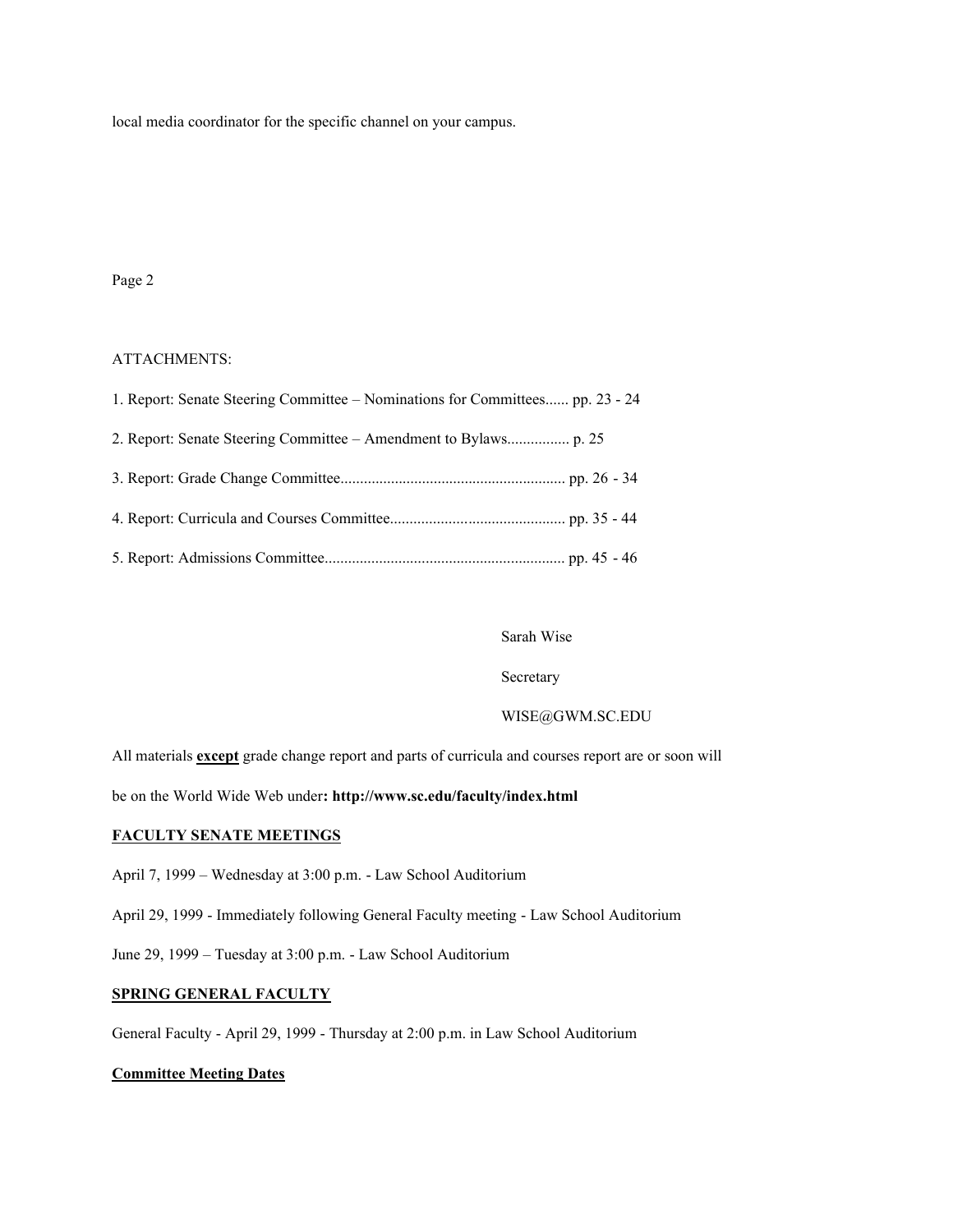local media coordinator for the specific channel on your campus.

# Page 2

### ATTACHMENTS:

| 1. Report: Senate Steering Committee – Nominations for Committees pp. 23 - 24 |  |
|-------------------------------------------------------------------------------|--|
|                                                                               |  |
|                                                                               |  |
|                                                                               |  |
|                                                                               |  |

### Sarah Wise

#### Secretary

#### WISE@GWM.SC.EDU

All materials **except** grade change report and parts of curricula and courses report are or soon will

be on the World Wide Web under**: http://www.sc.edu/faculty/index.html**

#### **FACULTY SENATE MEETINGS**

April 7, 1999 – Wednesday at 3:00 p.m. - Law School Auditorium

April 29, 1999 - Immediately following General Faculty meeting - Law School Auditorium

June 29, 1999 – Tuesday at 3:00 p.m. - Law School Auditorium

### **SPRING GENERAL FACULTY**

General Faculty - April 29, 1999 - Thursday at 2:00 p.m. in Law School Auditorium

### **Committee Meeting Dates**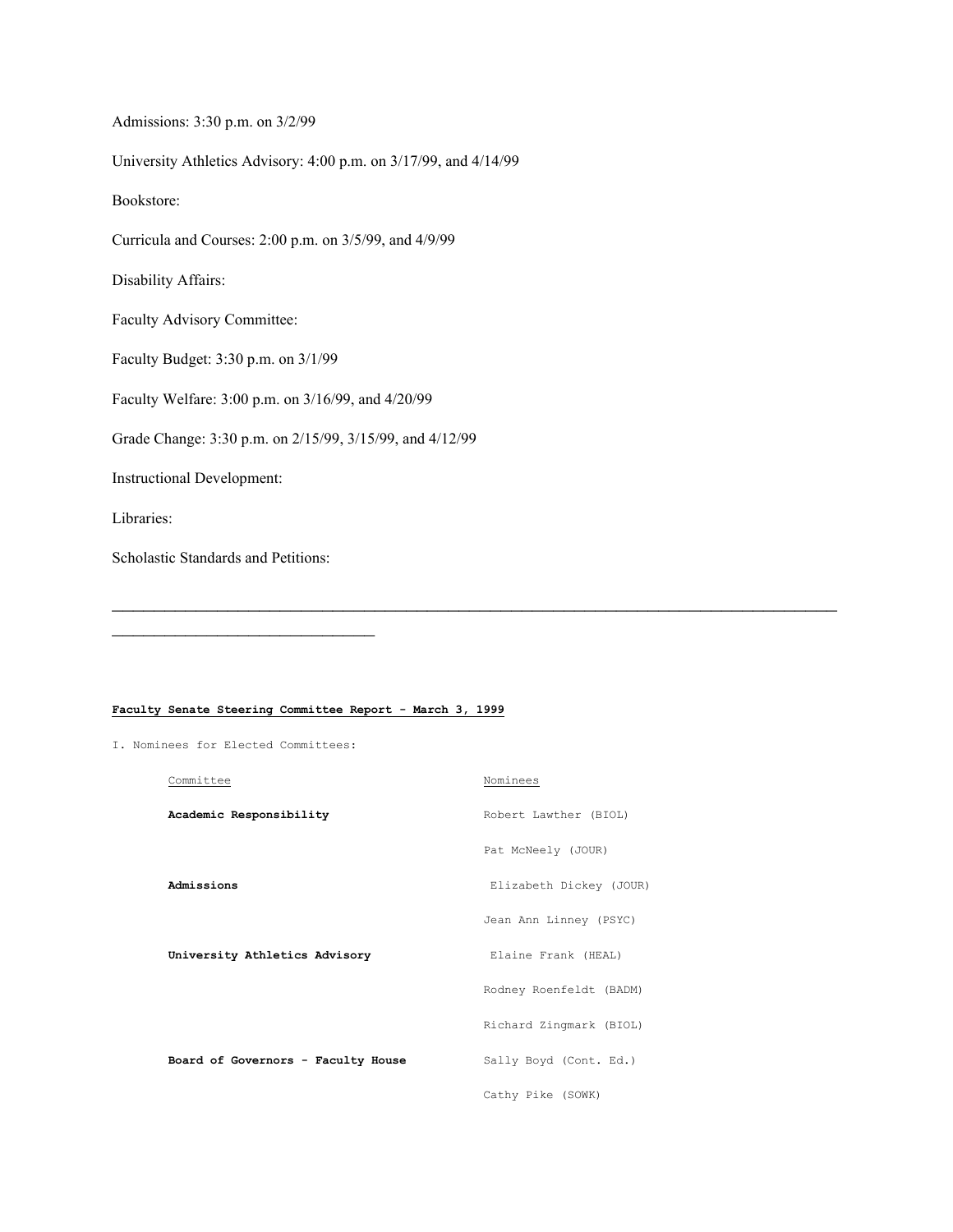Admissions: 3:30 p.m. on 3/2/99 University Athletics Advisory: 4:00 p.m. on 3/17/99, and 4/14/99 Bookstore: Curricula and Courses: 2:00 p.m. on 3/5/99, and 4/9/99 Disability Affairs: Faculty Advisory Committee: Faculty Budget: 3:30 p.m. on 3/1/99 Faculty Welfare: 3:00 p.m. on 3/16/99, and 4/20/99 Grade Change: 3:30 p.m. on 2/15/99, 3/15/99, and 4/12/99 Instructional Development: Libraries: Scholastic Standards and Petitions:

#### **Faculty Senate Steering Committee Report - March 3, 1999**

I. Nominees for Elected Committees:

| Committee                          | Nominees                |
|------------------------------------|-------------------------|
| Academic Responsibility            | Robert Lawther (BIOL)   |
|                                    | Pat McNeely (JOUR)      |
| Admissions                         | Elizabeth Dickey (JOUR) |
|                                    | Jean Ann Linney (PSYC)  |
| University Athletics Advisory      | Elaine Frank (HEAL)     |
|                                    | Rodney Roenfeldt (BADM) |
|                                    | Richard Zingmark (BIOL) |
| Board of Governors - Faculty House | Sally Boyd (Cont. Ed.)  |
|                                    | Cathy Pike (SOWK)       |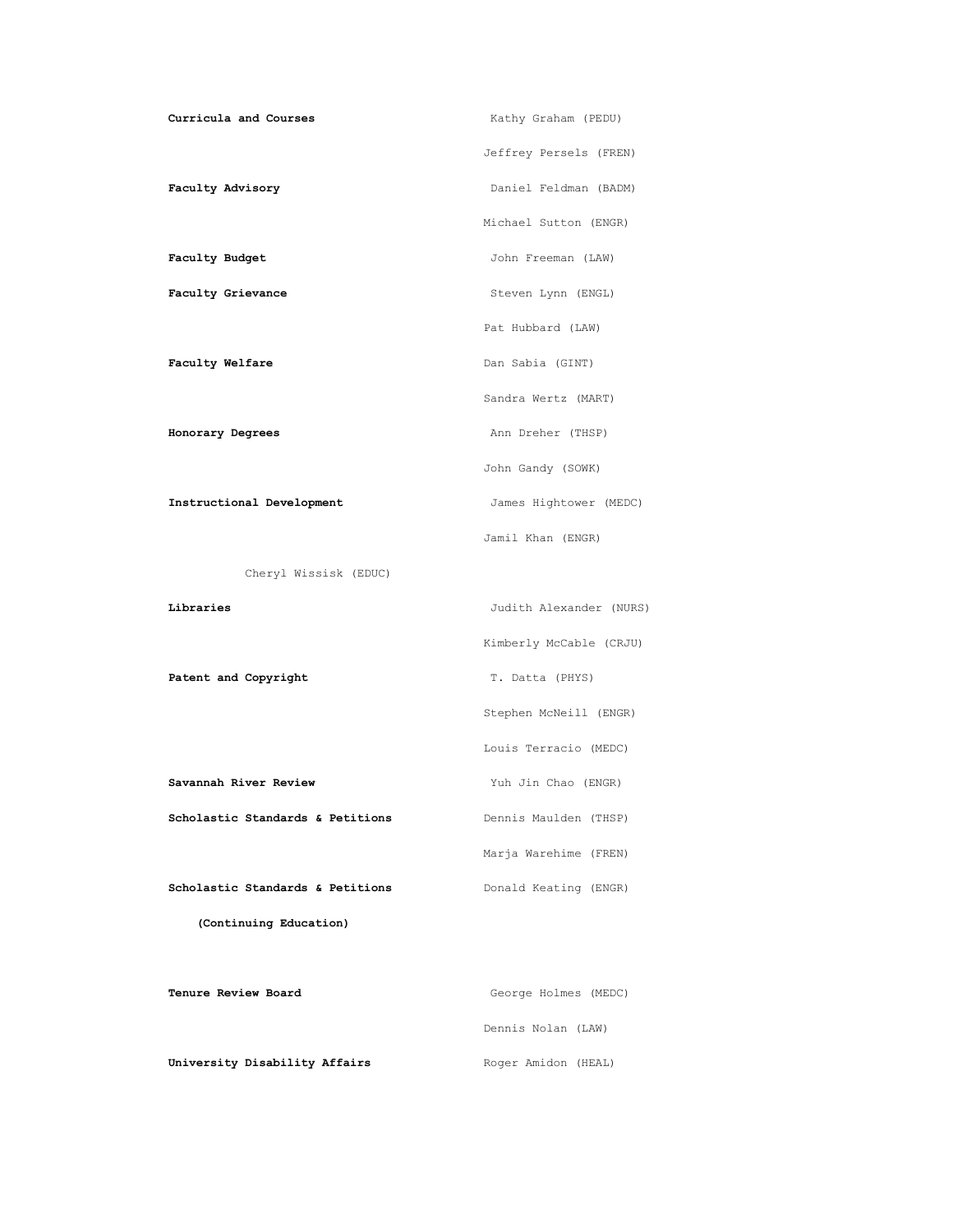| Curricula and Courses            | Kathy Graham (PEDU)     |
|----------------------------------|-------------------------|
|                                  | Jeffrey Persels (FREN)  |
| Faculty Advisory                 | Daniel Feldman (BADM)   |
|                                  | Michael Sutton (ENGR)   |
| Faculty Budget                   | John Freeman (LAW)      |
| Faculty Grievance                | Steven Lynn (ENGL)      |
|                                  | Pat Hubbard (LAW)       |
| Faculty Welfare                  | Dan Sabia (GINT)        |
|                                  | Sandra Wertz (MART)     |
| Honorary Degrees                 | Ann Dreher (THSP)       |
|                                  | John Gandy (SOWK)       |
| Instructional Development        | James Hightower (MEDC)  |
|                                  | Jamil Khan (ENGR)       |
| Cheryl Wissisk (EDUC)            |                         |
| Libraries                        | Judith Alexander (NURS) |
|                                  | Kimberly McCable (CRJU) |
| Patent and Copyright             | T. Datta (PHYS)         |
|                                  | Stephen McNeill (ENGR)  |
|                                  | Louis Terracio (MEDC)   |
| Savannah River Review            | Yuh Jin Chao (ENGR)     |
| Scholastic Standards & Petitions | Dennis Maulden (THSP)   |
|                                  | Marja Warehime (FREN)   |
| Scholastic Standards & Petitions | Donald Keating (ENGR)   |
| (Continuing Education)           |                         |
|                                  |                         |
|                                  |                         |

**University Disability Affairs** Roger Amidon (HEAL)

Dennis Nolan (LAW)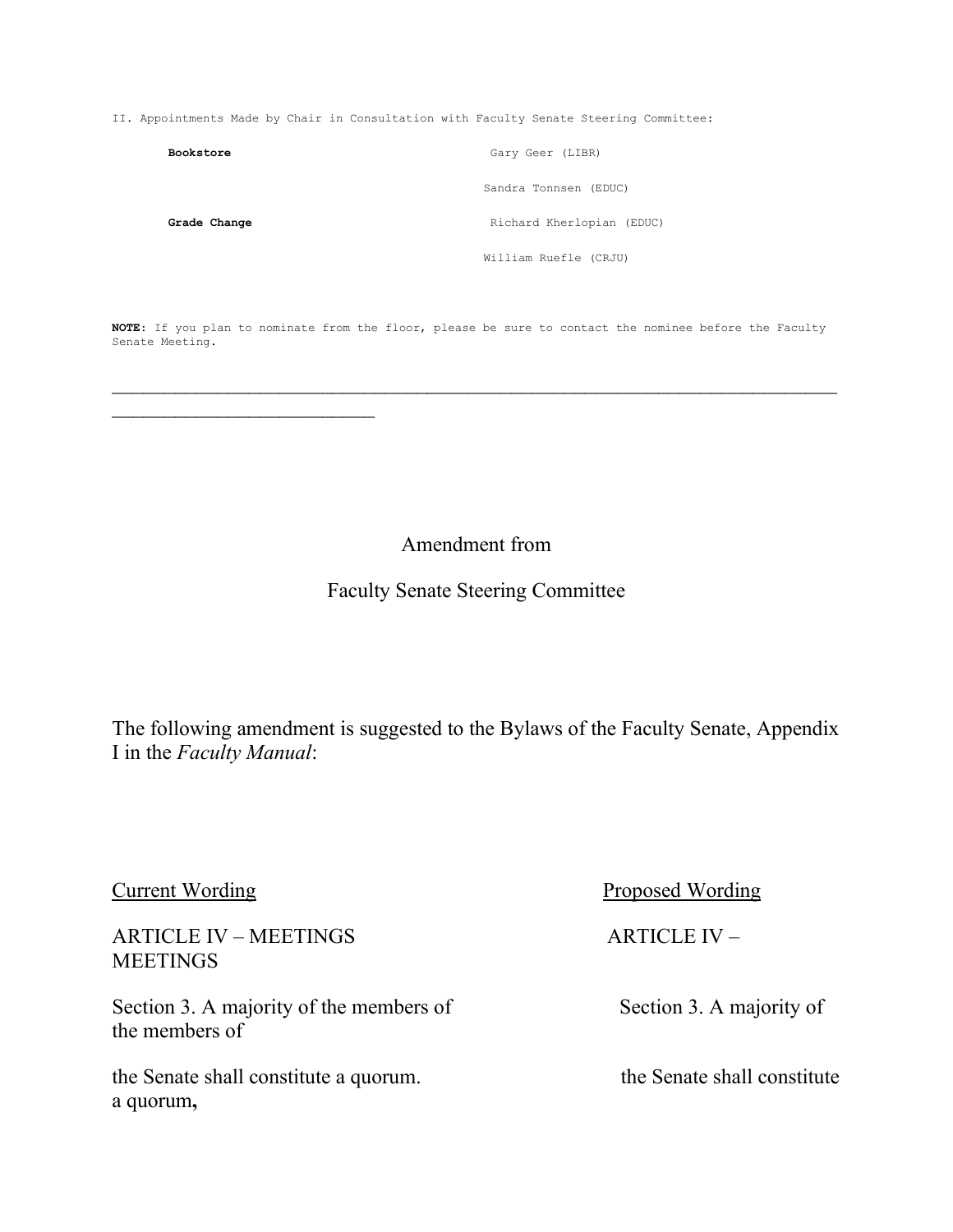II. Appointments Made by Chair in Consultation with Faculty Senate Steering Committee:

| Bookstore    | Gary Geer (LIBR)          |
|--------------|---------------------------|
|              | Sandra Tonnsen (EDUC)     |
| Grade Change | Richard Kherlopian (EDUC) |
|              | William Ruefle (CRJU)     |

**NOTE**: If you plan to nominate from the floor, please be sure to contact the nominee before the Faculty Senate Meeting.

 $\mathcal{L}_\text{max}$  , and the contract of the contract of the contract of the contract of the contract of the contract of the contract of the contract of the contract of the contract of the contract of the contract of the contr

Amendment from

# Faculty Senate Steering Committee

The following amendment is suggested to the Bylaws of the Faculty Senate, Appendix I in the *Faculty Manual*:

| <b>Current Wording</b>                                    | Proposed Wording            |
|-----------------------------------------------------------|-----------------------------|
| <b>ARTICLE IV – MEETINGS</b><br><b>MEETINGS</b>           | $ARTICLE$ IV $-$            |
| Section 3. A majority of the members of<br>the members of | Section 3. A majority of    |
| the Senate shall constitute a quorum.<br>a quorum,        | the Senate shall constitute |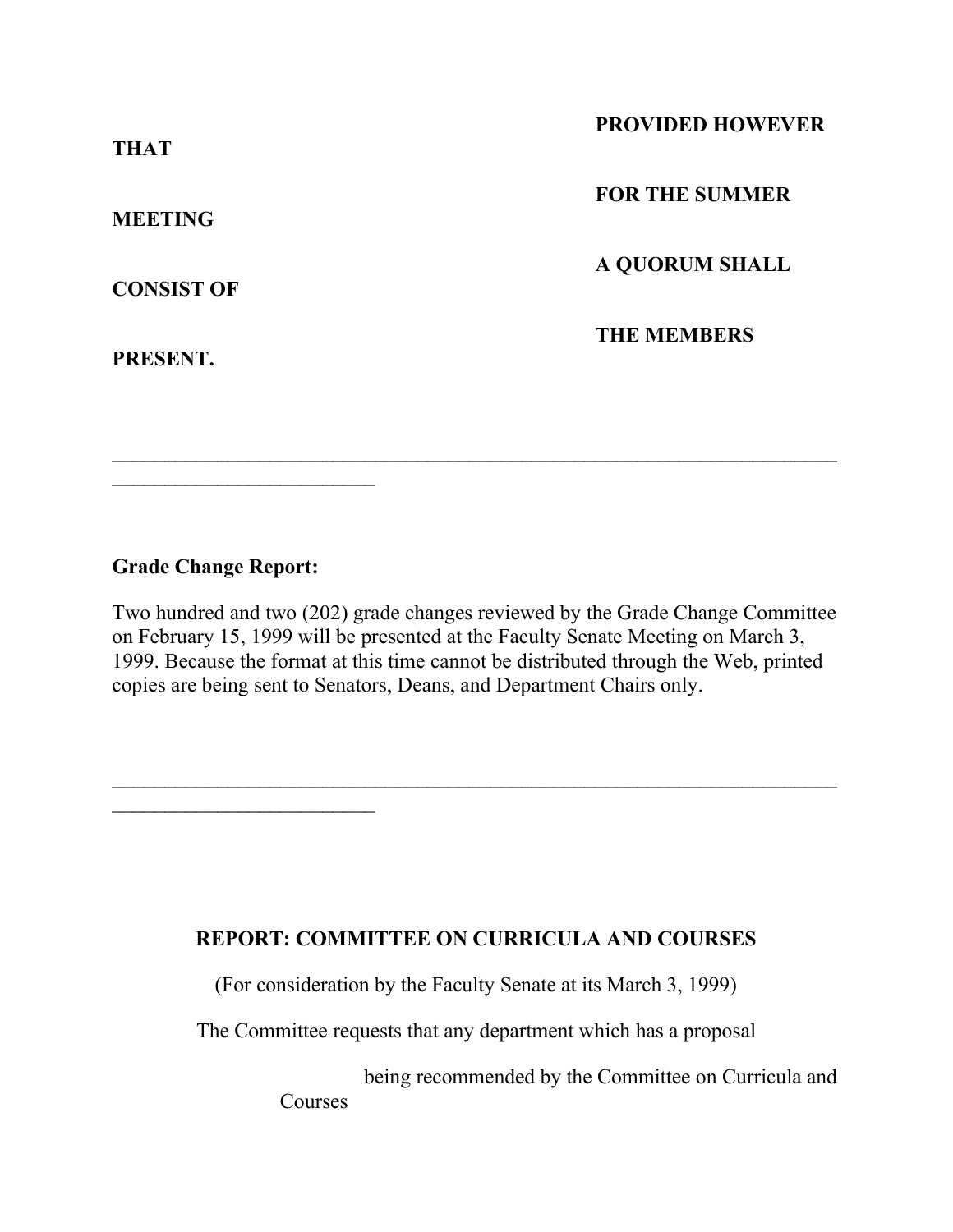| <b>THAT</b>       | <b>PROVIDED HOWEVER</b> |
|-------------------|-------------------------|
| <b>MEETING</b>    | <b>FOR THE SUMMER</b>   |
| <b>CONSIST OF</b> | <b>A QUORUM SHALL</b>   |
| PRESENT.          | <b>THE MEMBERS</b>      |

# **Grade Change Report:**

 $\mathcal{L}_\text{max}$  , where  $\mathcal{L}_\text{max}$  , we have the set of  $\mathcal{L}_\text{max}$ 

Two hundred and two (202) grade changes reviewed by the Grade Change Committee on February 15, 1999 will be presented at the Faculty Senate Meeting on March 3, 1999. Because the format at this time cannot be distributed through the Web, printed copies are being sent to Senators, Deans, and Department Chairs only.

 $\mathcal{L}_\text{max}$  , and the contract of the contract of the contract of the contract of the contract of the contract of the contract of the contract of the contract of the contract of the contract of the contract of the contr

# **REPORT: COMMITTEE ON CURRICULA AND COURSES**

(For consideration by the Faculty Senate at its March 3, 1999)

The Committee requests that any department which has a proposal

 being recommended by the Committee on Curricula and Courses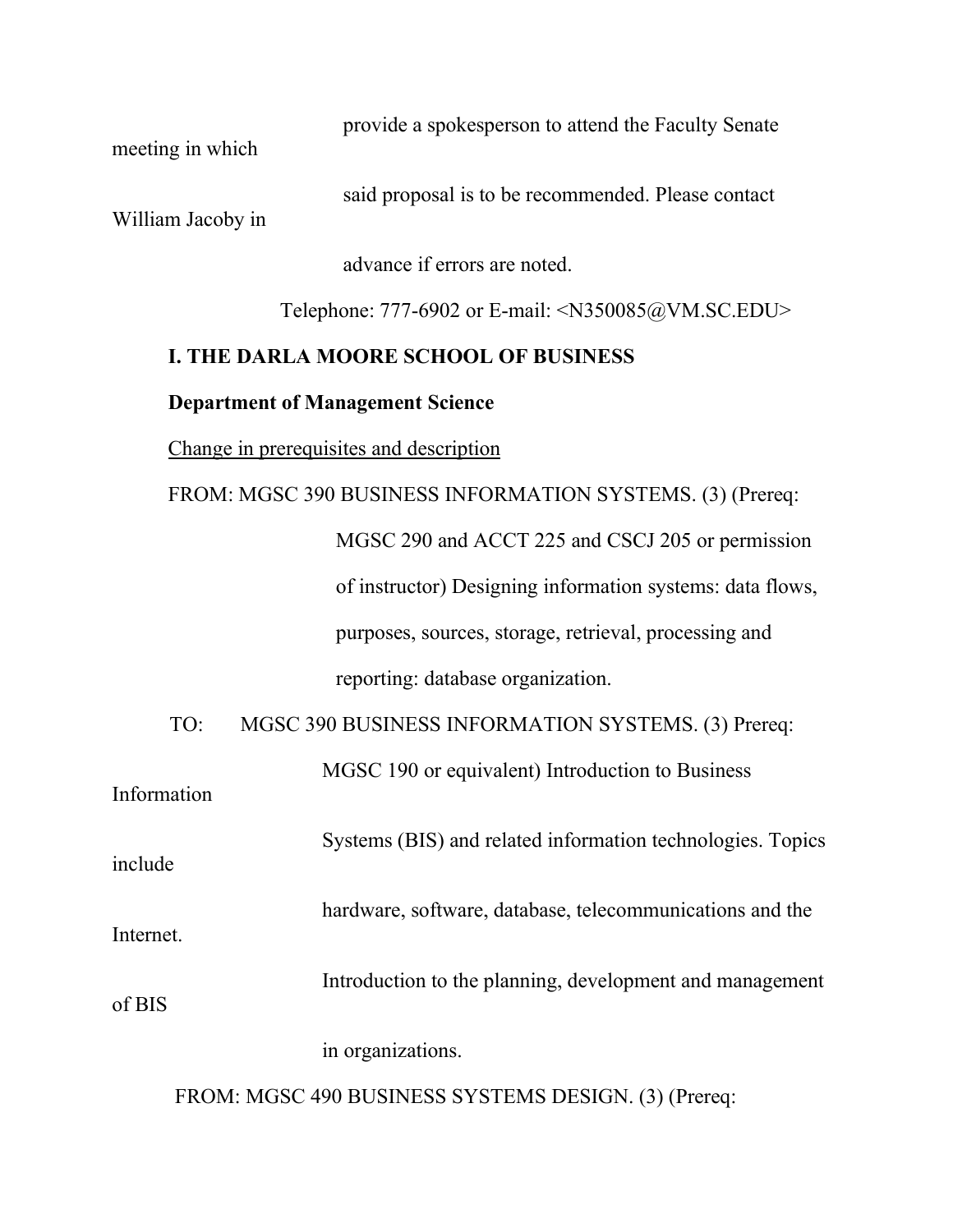meeting in which

provide a spokesperson to attend the Faculty Senate

said proposal is to be recommended. Please contact

William Jacoby in

advance if errors are noted.

Telephone: 777-6902 or E-mail: <N350085@VM.SC.EDU>

# **I. THE DARLA MOORE SCHOOL OF BUSINESS**

# **Department of Management Science**

Change in prerequisites and description

# FROM: MGSC 390 BUSINESS INFORMATION SYSTEMS. (3) (Prereq:

 MGSC 290 and ACCT 225 and CSCJ 205 or permission of instructor) Designing information systems: data flows, purposes, sources, storage, retrieval, processing and reporting: database organization.

TO: MGSC 390 BUSINESS INFORMATION SYSTEMS. (3) Prereq:

| Information | MGSC 190 or equivalent) Introduction to Business           |
|-------------|------------------------------------------------------------|
| include     | Systems (BIS) and related information technologies. Topics |
| Internet.   | hardware, software, database, telecommunications and the   |
| of BIS      | Introduction to the planning, development and management   |
|             | in organizations.                                          |

FROM: MGSC 490 BUSINESS SYSTEMS DESIGN. (3) (Prereq: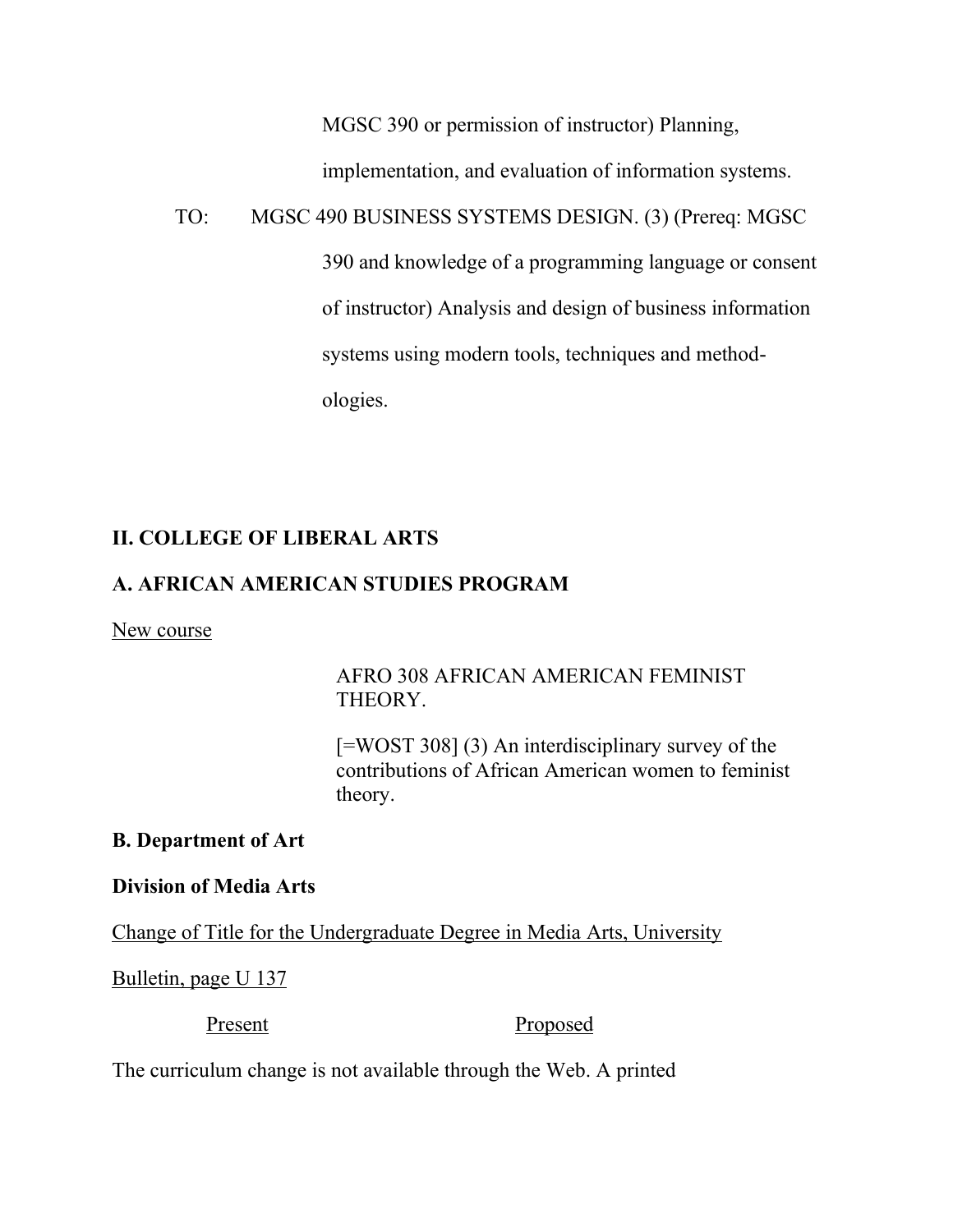MGSC 390 or permission of instructor) Planning,

implementation, and evaluation of information systems.

TO: MGSC 490 BUSINESS SYSTEMS DESIGN. (3) (Prereq: MGSC

 390 and knowledge of a programming language or consent of instructor) Analysis and design of business information systems using modern tools, techniques and method ologies.

# **II. COLLEGE OF LIBERAL ARTS**

# **A. AFRICAN AMERICAN STUDIES PROGRAM**

# New course

# AFRO 308 AFRICAN AMERICAN FEMINIST THEORY.

[=WOST 308] (3) An interdisciplinary survey of the contributions of African American women to feminist theory.

# **B. Department of Art**

# **Division of Media Arts**

Change of Title for the Undergraduate Degree in Media Arts, University

Bulletin, page U 137

Present Proposed

The curriculum change is not available through the Web. A printed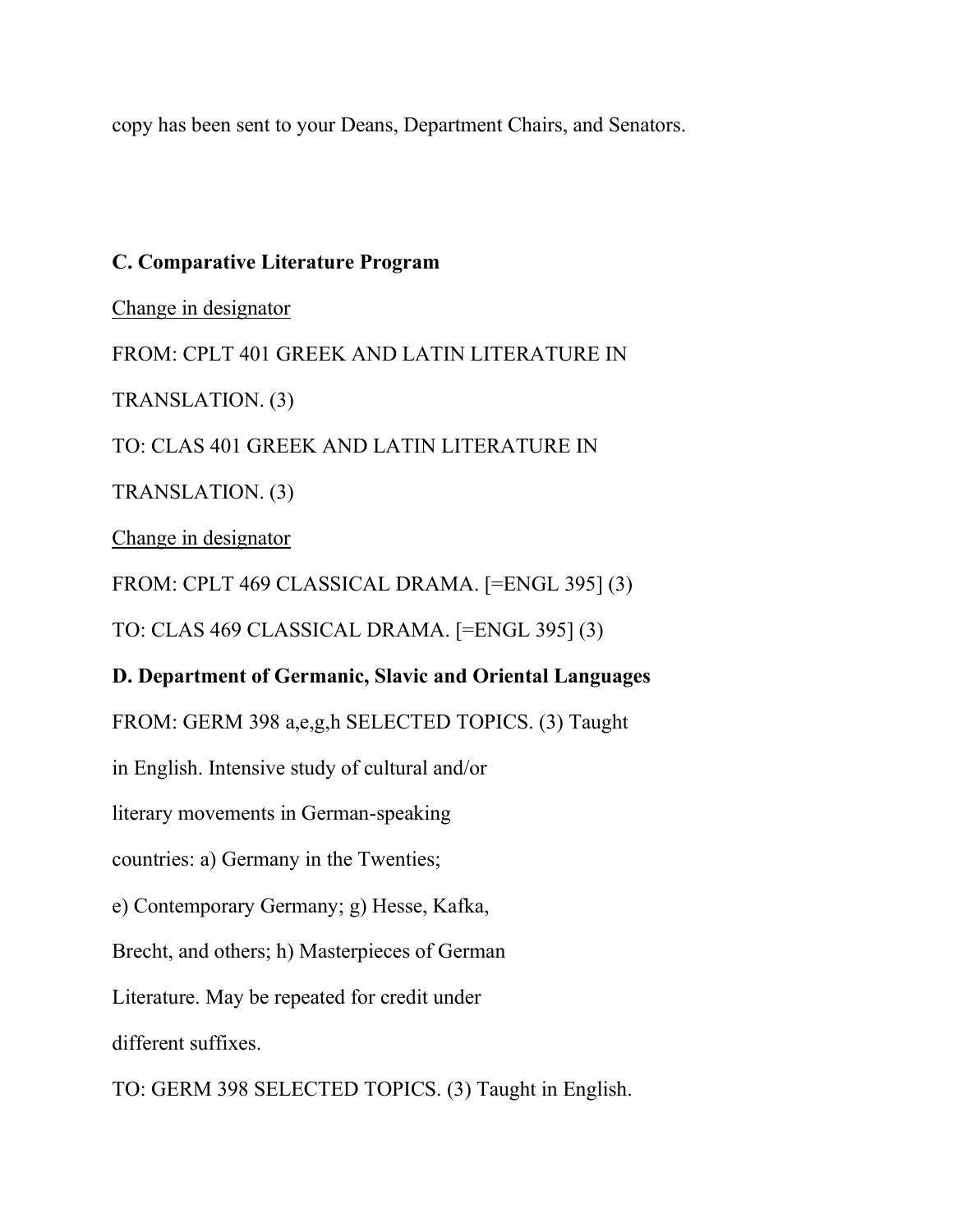copy has been sent to your Deans, Department Chairs, and Senators.

# **C. Comparative Literature Program**

Change in designator

FROM: CPLT 401 GREEK AND LATIN LITERATURE IN

TRANSLATION. (3)

TO: CLAS 401 GREEK AND LATIN LITERATURE IN

TRANSLATION. (3)

Change in designator

FROM: CPLT 469 CLASSICAL DRAMA. [=ENGL 395] (3)

TO: CLAS 469 CLASSICAL DRAMA. [=ENGL 395] (3)

# **D. Department of Germanic, Slavic and Oriental Languages**

FROM: GERM 398 a,e,g,h SELECTED TOPICS. (3) Taught

in English. Intensive study of cultural and/or

literary movements in German-speaking

countries: a) Germany in the Twenties;

e) Contemporary Germany; g) Hesse, Kafka,

Brecht, and others; h) Masterpieces of German

Literature. May be repeated for credit under

different suffixes.

TO: GERM 398 SELECTED TOPICS. (3) Taught in English.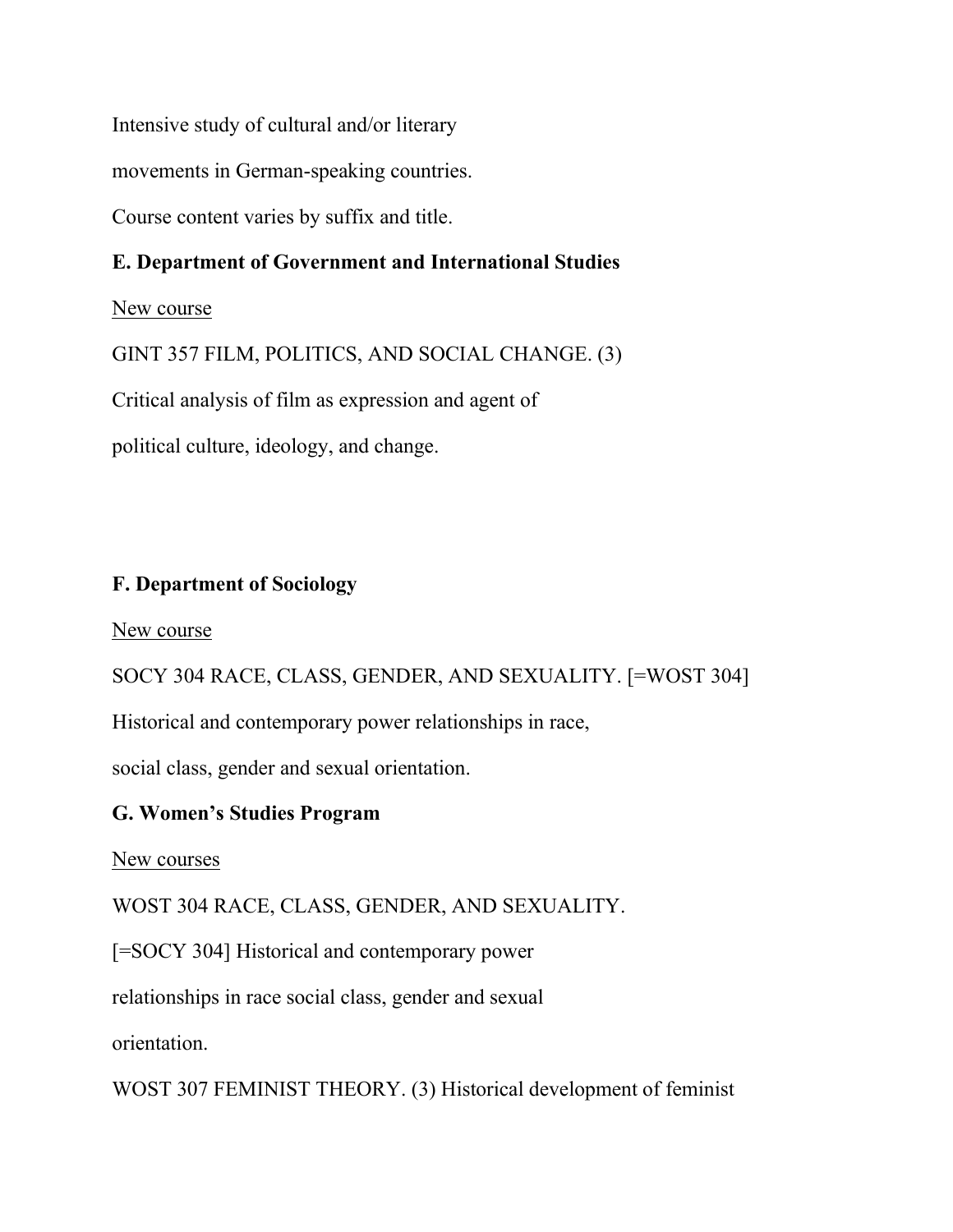Intensive study of cultural and/or literary

movements in German-speaking countries.

Course content varies by suffix and title.

# **E. Department of Government and International Studies**

New course

GINT 357 FILM, POLITICS, AND SOCIAL CHANGE. (3)

Critical analysis of film as expression and agent of

political culture, ideology, and change.

# **F. Department of Sociology**

New course

SOCY 304 RACE, CLASS, GENDER, AND SEXUALITY. [=WOST 304]

Historical and contemporary power relationships in race,

social class, gender and sexual orientation.

# **G. Women's Studies Program**

New courses

WOST 304 RACE, CLASS, GENDER, AND SEXUALITY.

[=SOCY 304] Historical and contemporary power

relationships in race social class, gender and sexual

orientation.

WOST 307 FEMINIST THEORY. (3) Historical development of feminist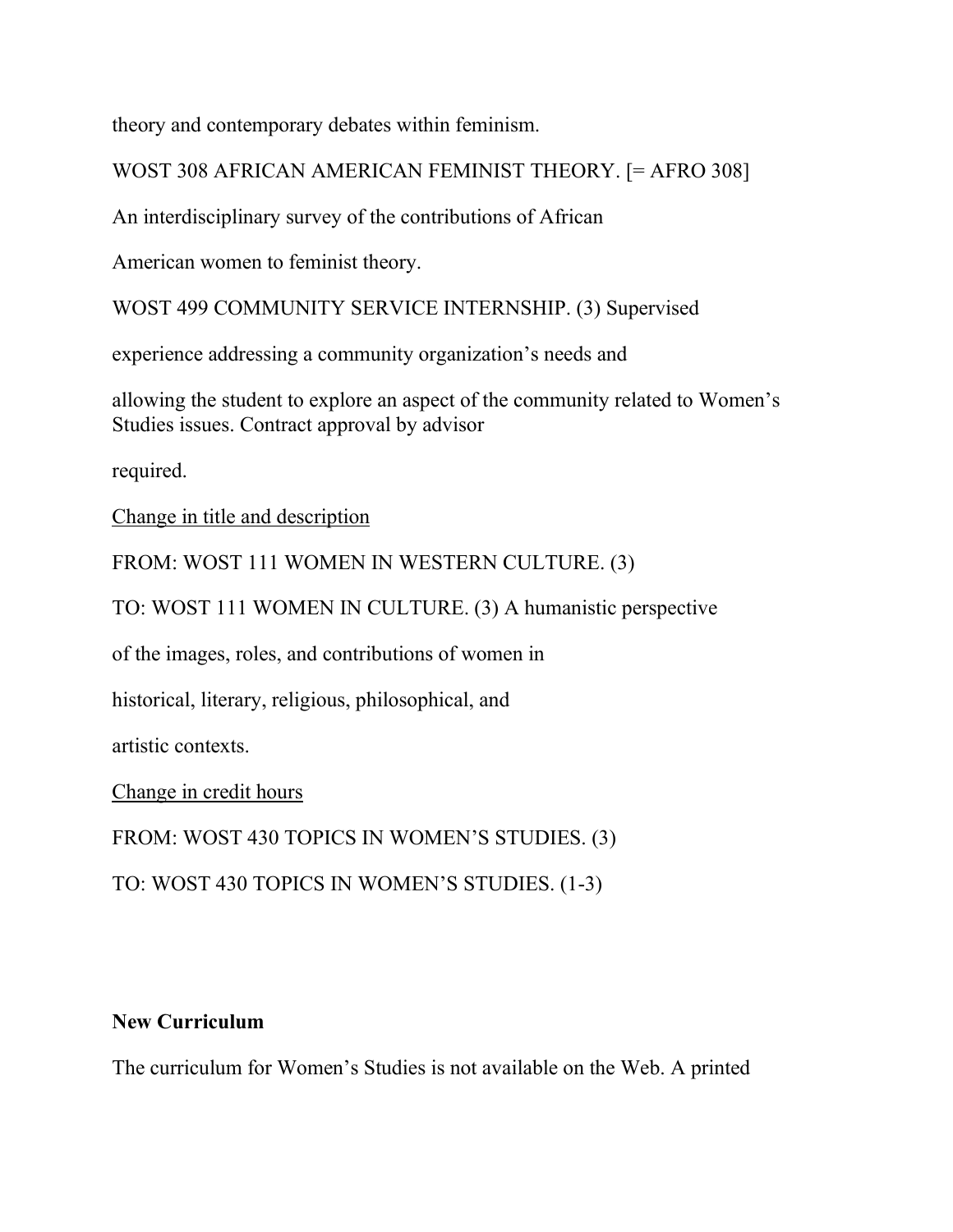theory and contemporary debates within feminism.

WOST 308 AFRICAN AMERICAN FEMINIST THEORY. [= AFRO 308]

An interdisciplinary survey of the contributions of African

American women to feminist theory.

WOST 499 COMMUNITY SERVICE INTERNSHIP. (3) Supervised

experience addressing a community organization's needs and

allowing the student to explore an aspect of the community related to Women's Studies issues. Contract approval by advisor

required.

Change in title and description

FROM: WOST 111 WOMEN IN WESTERN CULTURE. (3)

TO: WOST 111 WOMEN IN CULTURE. (3) A humanistic perspective

of the images, roles, and contributions of women in

historical, literary, religious, philosophical, and

artistic contexts.

Change in credit hours

FROM: WOST 430 TOPICS IN WOMEN'S STUDIES. (3)

TO: WOST 430 TOPICS IN WOMEN'S STUDIES. (1-3)

# **New Curriculum**

The curriculum for Women's Studies is not available on the Web. A printed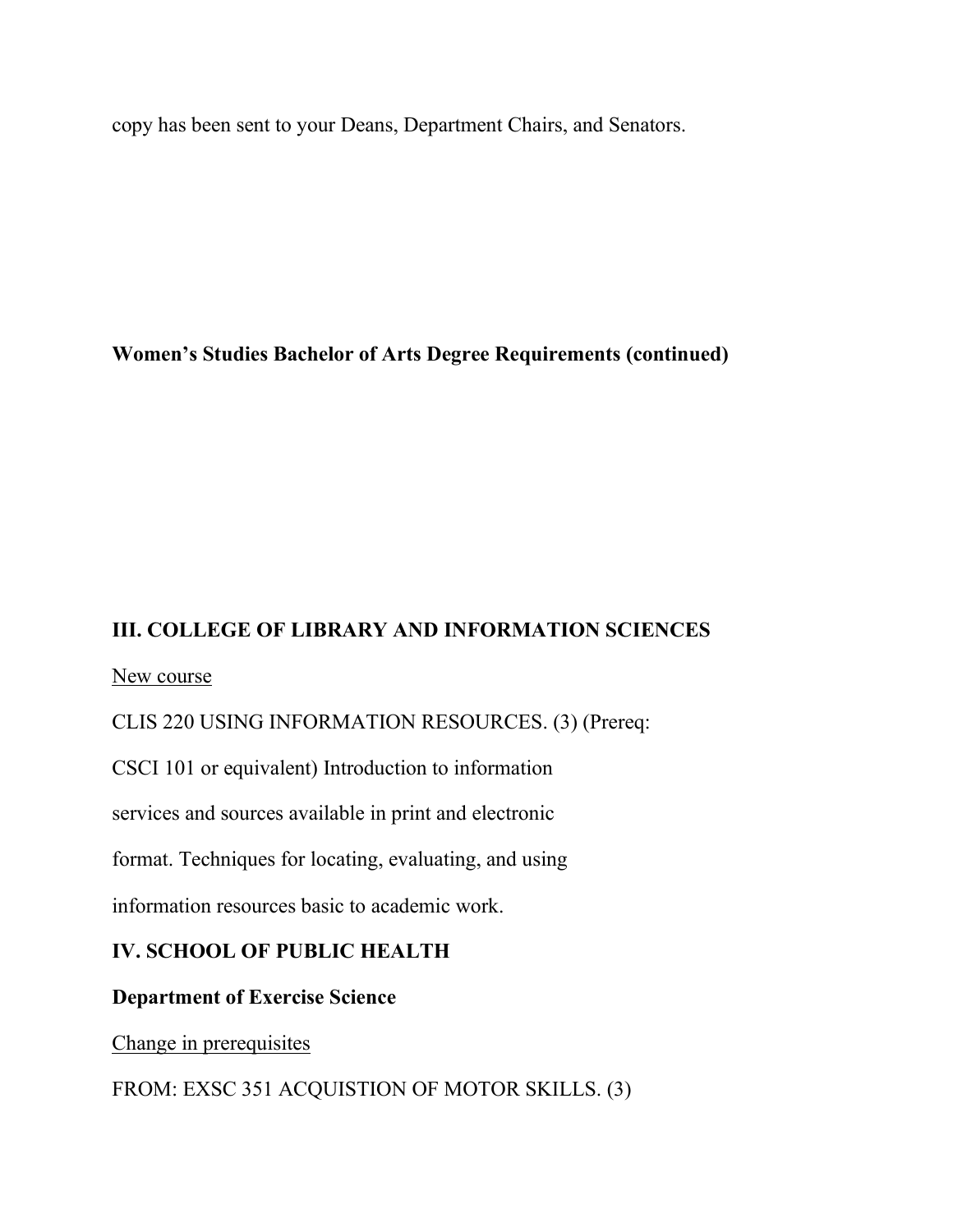copy has been sent to your Deans, Department Chairs, and Senators.

# **Women's Studies Bachelor of Arts Degree Requirements (continued)**

# **III. COLLEGE OF LIBRARY AND INFORMATION SCIENCES**

New course

CLIS 220 USING INFORMATION RESOURCES. (3) (Prereq:

CSCI 101 or equivalent) Introduction to information

services and sources available in print and electronic

format. Techniques for locating, evaluating, and using

information resources basic to academic work.

# **IV. SCHOOL OF PUBLIC HEALTH**

# **Department of Exercise Science**

Change in prerequisites

FROM: EXSC 351 ACQUISTION OF MOTOR SKILLS. (3)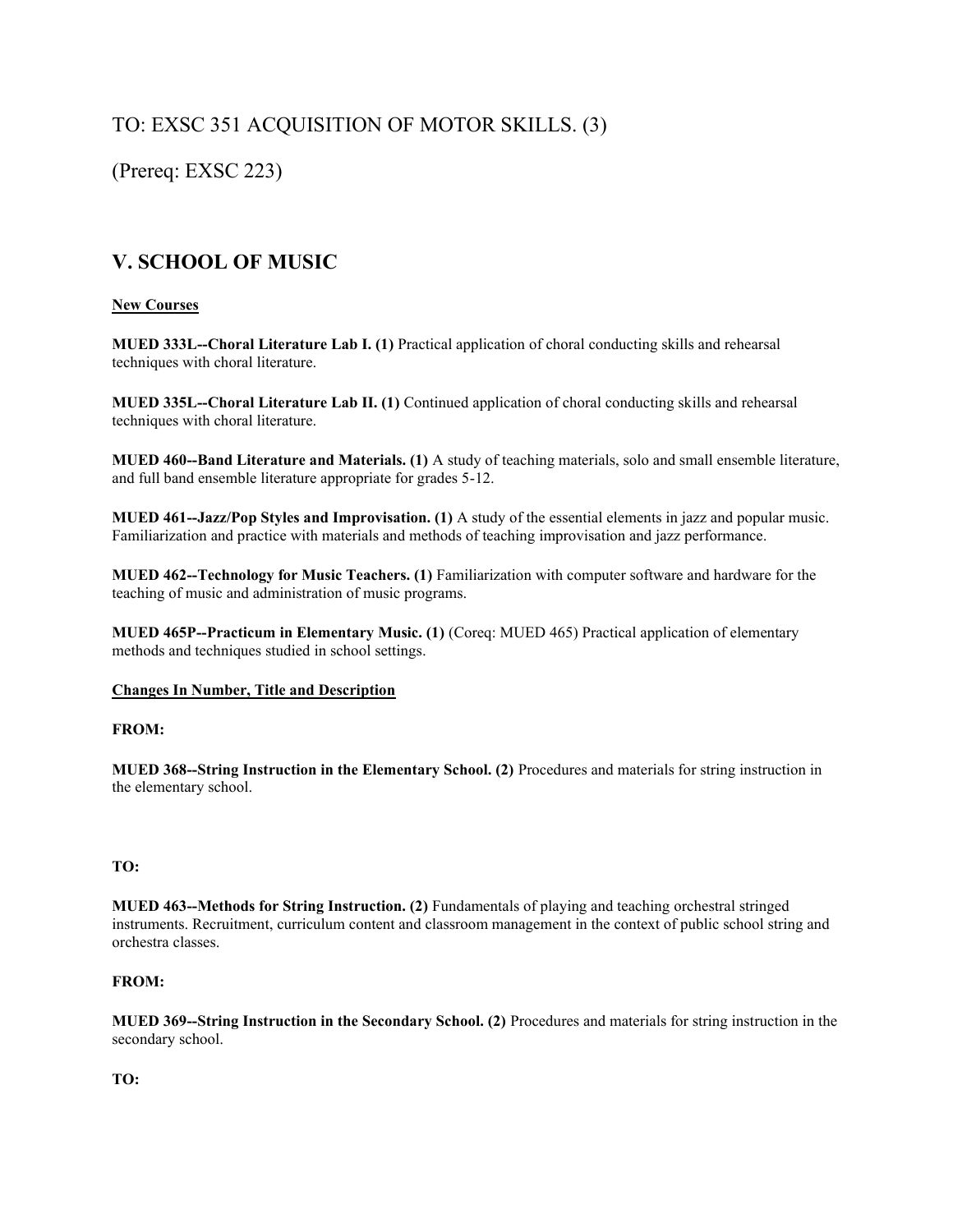# TO: EXSC 351 ACQUISITION OF MOTOR SKILLS. (3)

(Prereq: EXSC 223)

# **V. SCHOOL OF MUSIC**

### **New Courses**

**MUED 333L--Choral Literature Lab I. (1)** Practical application of choral conducting skills and rehearsal techniques with choral literature.

**MUED 335L--Choral Literature Lab II. (1)** Continued application of choral conducting skills and rehearsal techniques with choral literature.

**MUED 460--Band Literature and Materials. (1)** A study of teaching materials, solo and small ensemble literature, and full band ensemble literature appropriate for grades 5-12.

**MUED 461--Jazz/Pop Styles and Improvisation. (1)** A study of the essential elements in jazz and popular music. Familiarization and practice with materials and methods of teaching improvisation and jazz performance.

**MUED 462--Technology for Music Teachers. (1)** Familiarization with computer software and hardware for the teaching of music and administration of music programs.

**MUED 465P--Practicum in Elementary Music. (1)** (Coreq: MUED 465) Practical application of elementary methods and techniques studied in school settings.

### **Changes In Number, Title and Description**

### **FROM:**

**MUED 368--String Instruction in the Elementary School. (2)** Procedures and materials for string instruction in the elementary school.

### **TO:**

**MUED 463--Methods for String Instruction. (2)** Fundamentals of playing and teaching orchestral stringed instruments. Recruitment, curriculum content and classroom management in the context of public school string and orchestra classes.

### **FROM:**

**MUED 369--String Instruction in the Secondary School. (2)** Procedures and materials for string instruction in the secondary school.

### **TO:**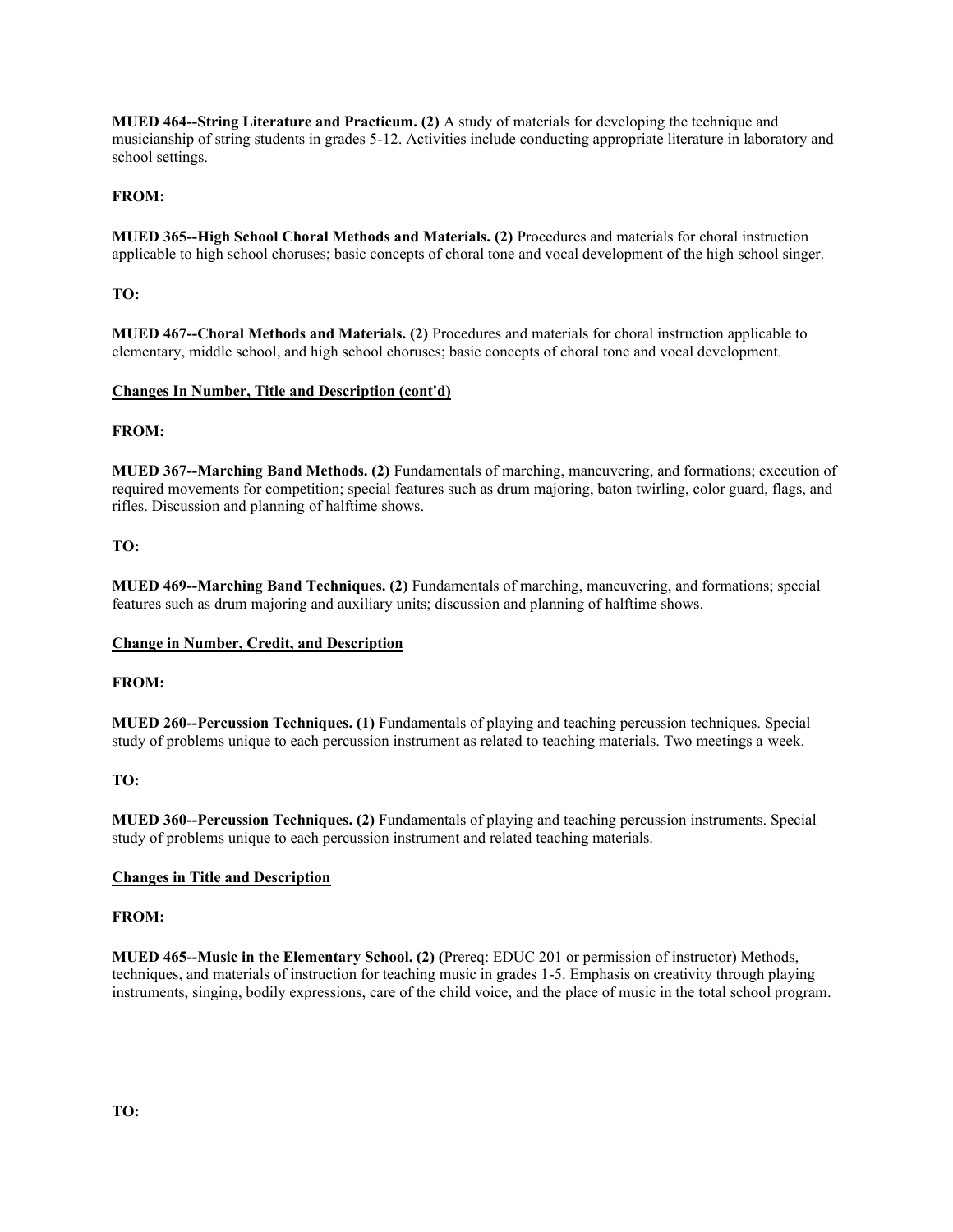**MUED 464--String Literature and Practicum. (2)** A study of materials for developing the technique and musicianship of string students in grades 5-12. Activities include conducting appropriate literature in laboratory and school settings.

### **FROM:**

**MUED 365--High School Choral Methods and Materials. (2)** Procedures and materials for choral instruction applicable to high school choruses; basic concepts of choral tone and vocal development of the high school singer.

### **TO:**

**MUED 467--Choral Methods and Materials. (2)** Procedures and materials for choral instruction applicable to elementary, middle school, and high school choruses; basic concepts of choral tone and vocal development.

#### **Changes In Number, Title and Description (cont'd)**

#### **FROM:**

**MUED 367--Marching Band Methods. (2)** Fundamentals of marching, maneuvering, and formations; execution of required movements for competition; special features such as drum majoring, baton twirling, color guard, flags, and rifles. Discussion and planning of halftime shows.

#### **TO:**

**MUED 469--Marching Band Techniques. (2)** Fundamentals of marching, maneuvering, and formations; special features such as drum majoring and auxiliary units; discussion and planning of halftime shows.

#### **Change in Number, Credit, and Description**

#### **FROM:**

**MUED 260--Percussion Techniques. (1)** Fundamentals of playing and teaching percussion techniques. Special study of problems unique to each percussion instrument as related to teaching materials. Two meetings a week.

### **TO:**

**MUED 360--Percussion Techniques. (2)** Fundamentals of playing and teaching percussion instruments. Special study of problems unique to each percussion instrument and related teaching materials.

#### **Changes in Title and Description**

#### **FROM:**

**MUED 465--Music in the Elementary School. (2) (**Prereq: EDUC 201 or permission of instructor) Methods, techniques, and materials of instruction for teaching music in grades 1-5. Emphasis on creativity through playing instruments, singing, bodily expressions, care of the child voice, and the place of music in the total school program.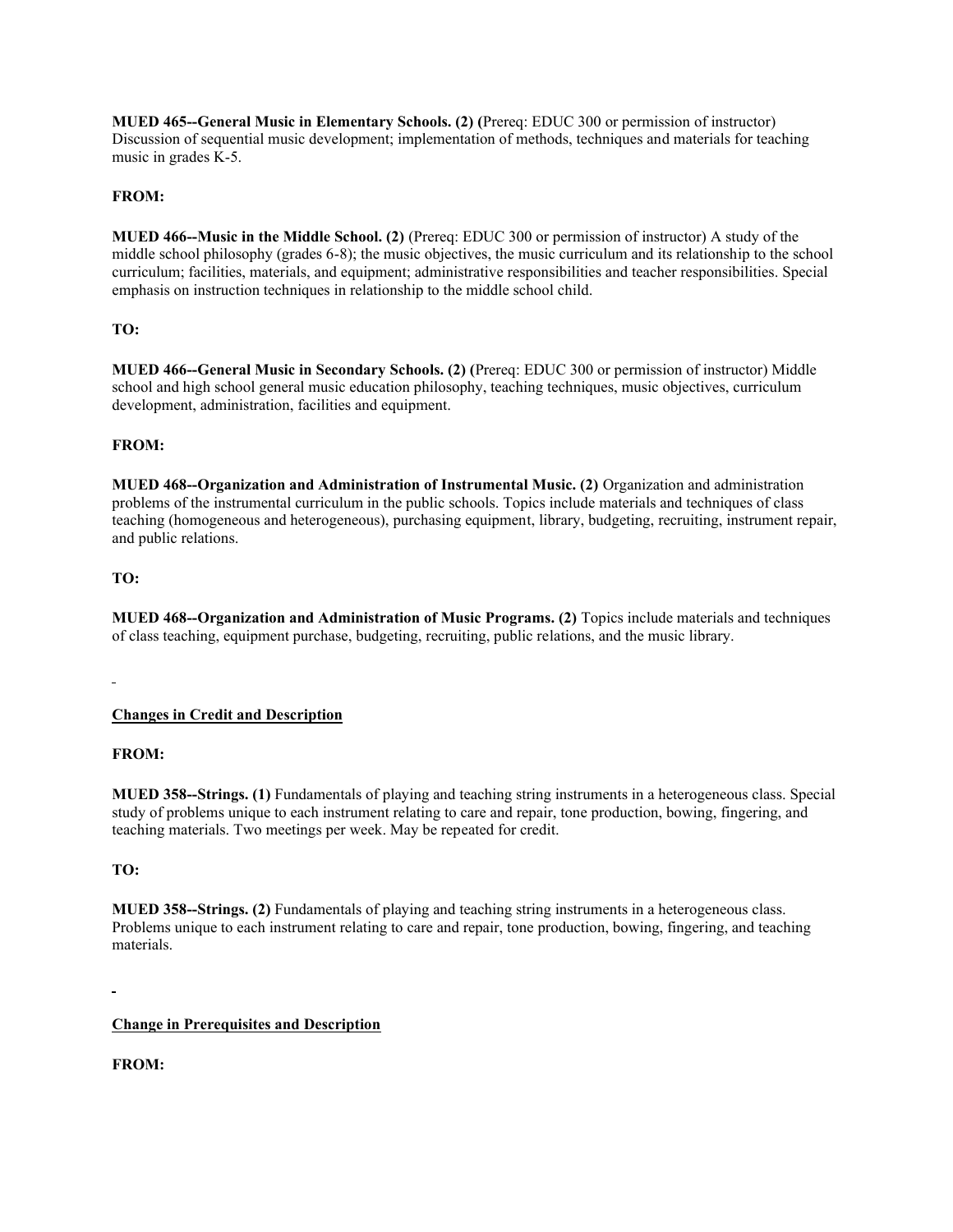**MUED 465--General Music in Elementary Schools. (2) (**Prereq: EDUC 300 or permission of instructor) Discussion of sequential music development; implementation of methods, techniques and materials for teaching music in grades K-5.

### **FROM:**

**MUED 466--Music in the Middle School. (2)** (Prereq: EDUC 300 or permission of instructor) A study of the middle school philosophy (grades 6-8); the music objectives, the music curriculum and its relationship to the school curriculum; facilities, materials, and equipment; administrative responsibilities and teacher responsibilities. Special emphasis on instruction techniques in relationship to the middle school child.

### **TO:**

**MUED 466--General Music in Secondary Schools. (2) (**Prereq: EDUC 300 or permission of instructor) Middle school and high school general music education philosophy, teaching techniques, music objectives, curriculum development, administration, facilities and equipment.

### **FROM:**

**MUED 468--Organization and Administration of Instrumental Music. (2)** Organization and administration problems of the instrumental curriculum in the public schools. Topics include materials and techniques of class teaching (homogeneous and heterogeneous), purchasing equipment, library, budgeting, recruiting, instrument repair, and public relations.

### **TO:**

**MUED 468--Organization and Administration of Music Programs. (2)** Topics include materials and techniques of class teaching, equipment purchase, budgeting, recruiting, public relations, and the music library.

### **Changes in Credit and Description**

### **FROM:**

**MUED 358--Strings. (1)** Fundamentals of playing and teaching string instruments in a heterogeneous class. Special study of problems unique to each instrument relating to care and repair, tone production, bowing, fingering, and teaching materials. Two meetings per week. May be repeated for credit.

### **TO:**

**MUED 358--Strings. (2)** Fundamentals of playing and teaching string instruments in a heterogeneous class. Problems unique to each instrument relating to care and repair, tone production, bowing, fingering, and teaching materials.

### **Change in Prerequisites and Description**

### **FROM:**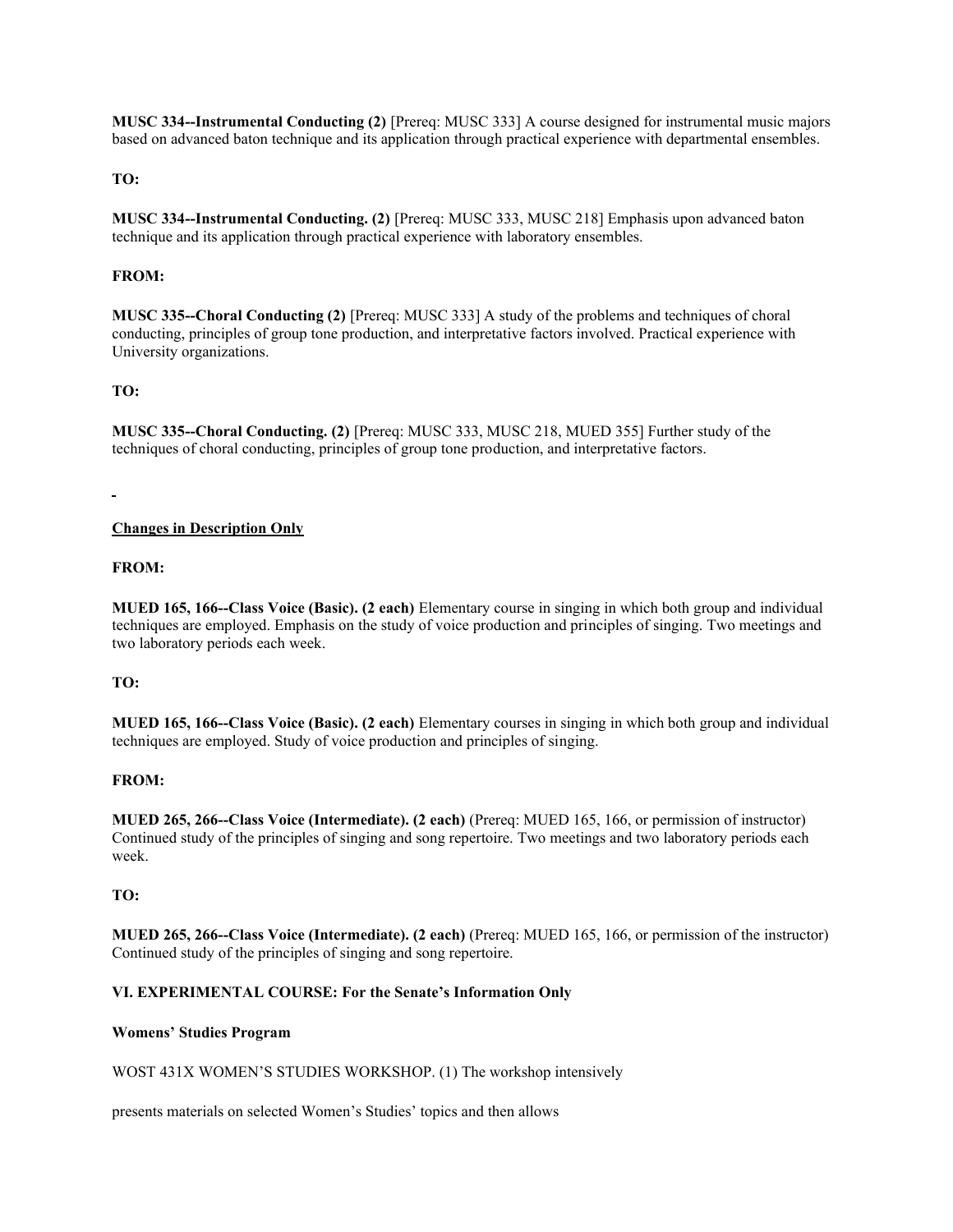**MUSC 334--Instrumental Conducting (2)** [Prereq: MUSC 333] A course designed for instrumental music majors based on advanced baton technique and its application through practical experience with departmental ensembles.

### **TO:**

**MUSC 334--Instrumental Conducting. (2)** [Prereq: MUSC 333, MUSC 218] Emphasis upon advanced baton technique and its application through practical experience with laboratory ensembles.

#### **FROM:**

**MUSC 335--Choral Conducting (2)** [Prereq: MUSC 333] A study of the problems and techniques of choral conducting, principles of group tone production, and interpretative factors involved. Practical experience with University organizations.

#### **TO:**

**MUSC 335--Choral Conducting. (2)** [Prereq: MUSC 333, MUSC 218, MUED 355] Further study of the techniques of choral conducting, principles of group tone production, and interpretative factors.

#### **Changes in Description Only**

#### **FROM:**

**MUED 165, 166--Class Voice (Basic). (2 each)** Elementary course in singing in which both group and individual techniques are employed. Emphasis on the study of voice production and principles of singing. Two meetings and two laboratory periods each week.

#### **TO:**

**MUED 165, 166--Class Voice (Basic). (2 each)** Elementary courses in singing in which both group and individual techniques are employed. Study of voice production and principles of singing.

#### **FROM:**

**MUED 265, 266--Class Voice (Intermediate). (2 each)** (Prereq: MUED 165, 166, or permission of instructor) Continued study of the principles of singing and song repertoire. Two meetings and two laboratory periods each week.

#### **TO:**

**MUED 265, 266--Class Voice (Intermediate). (2 each)** (Prereq: MUED 165, 166, or permission of the instructor) Continued study of the principles of singing and song repertoire.

### **VI. EXPERIMENTAL COURSE: For the Senate's Information Only**

#### **Womens' Studies Program**

WOST 431X WOMEN'S STUDIES WORKSHOP. (1) The workshop intensively

presents materials on selected Women's Studies' topics and then allows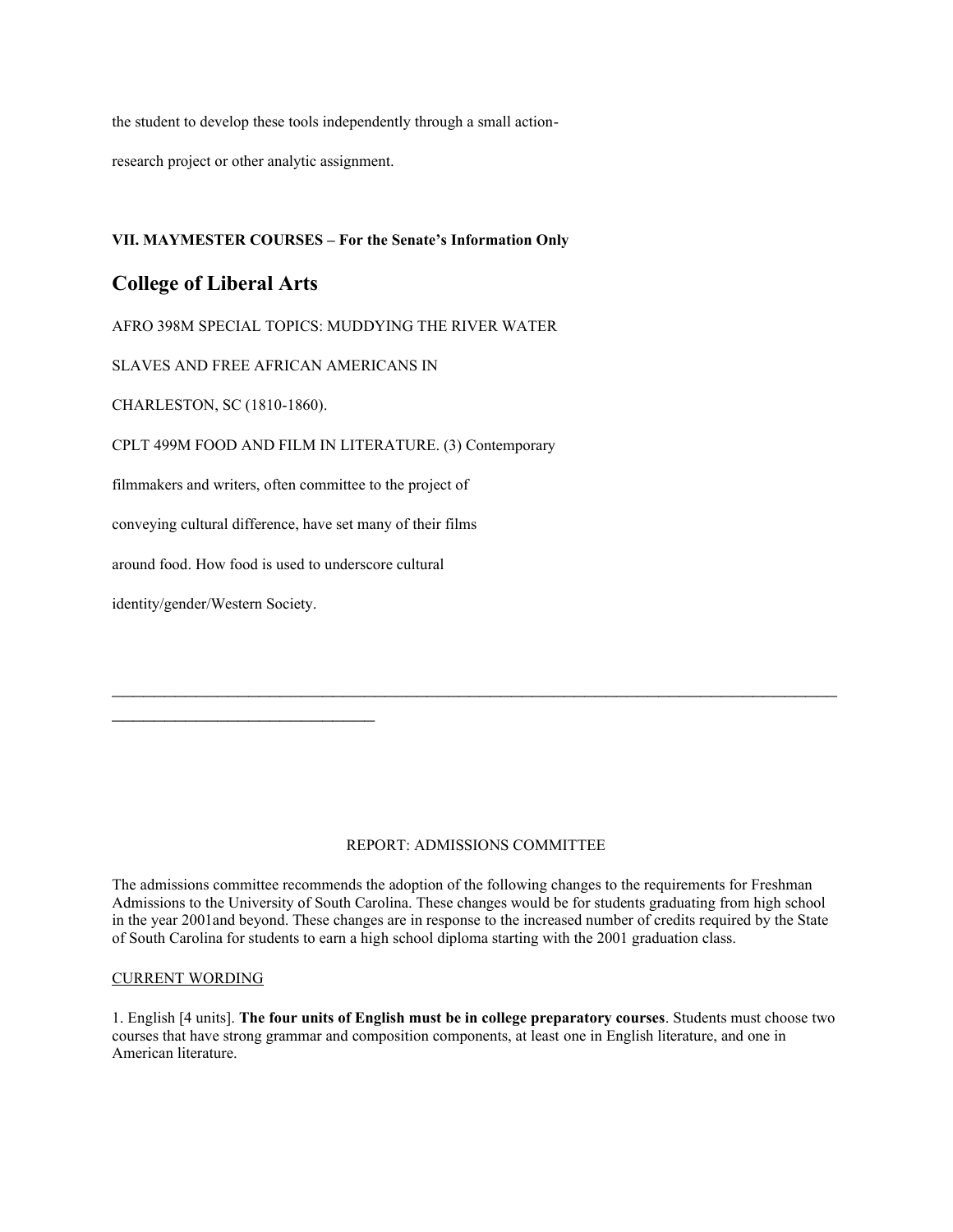the student to develop these tools independently through a small action-

research project or other analytic assignment.

### **VII. MAYMESTER COURSES – For the Senate's Information Only**

## **College of Liberal Arts**

AFRO 398M SPECIAL TOPICS: MUDDYING THE RIVER WATER

SLAVES AND FREE AFRICAN AMERICANS IN

CHARLESTON, SC (1810-1860).

CPLT 499M FOOD AND FILM IN LITERATURE. (3) Contemporary

filmmakers and writers, often committee to the project of

conveying cultural difference, have set many of their films

around food. How food is used to underscore cultural

identity/gender/Western Society.

 $\mathcal{L}_\text{max}$  , where  $\mathcal{L}_\text{max}$  , we have the set of  $\mathcal{L}_\text{max}$ 

### REPORT: ADMISSIONS COMMITTEE

 $\mathcal{L}_\text{max}$  , and the contract of the contract of the contract of the contract of the contract of the contract of the contract of the contract of the contract of the contract of the contract of the contract of the contr

The admissions committee recommends the adoption of the following changes to the requirements for Freshman Admissions to the University of South Carolina. These changes would be for students graduating from high school in the year 2001and beyond. These changes are in response to the increased number of credits required by the State of South Carolina for students to earn a high school diploma starting with the 2001 graduation class.

#### CURRENT WORDING

1. English [4 units]. **The four units of English must be in college preparatory courses**. Students must choose two courses that have strong grammar and composition components, at least one in English literature, and one in American literature.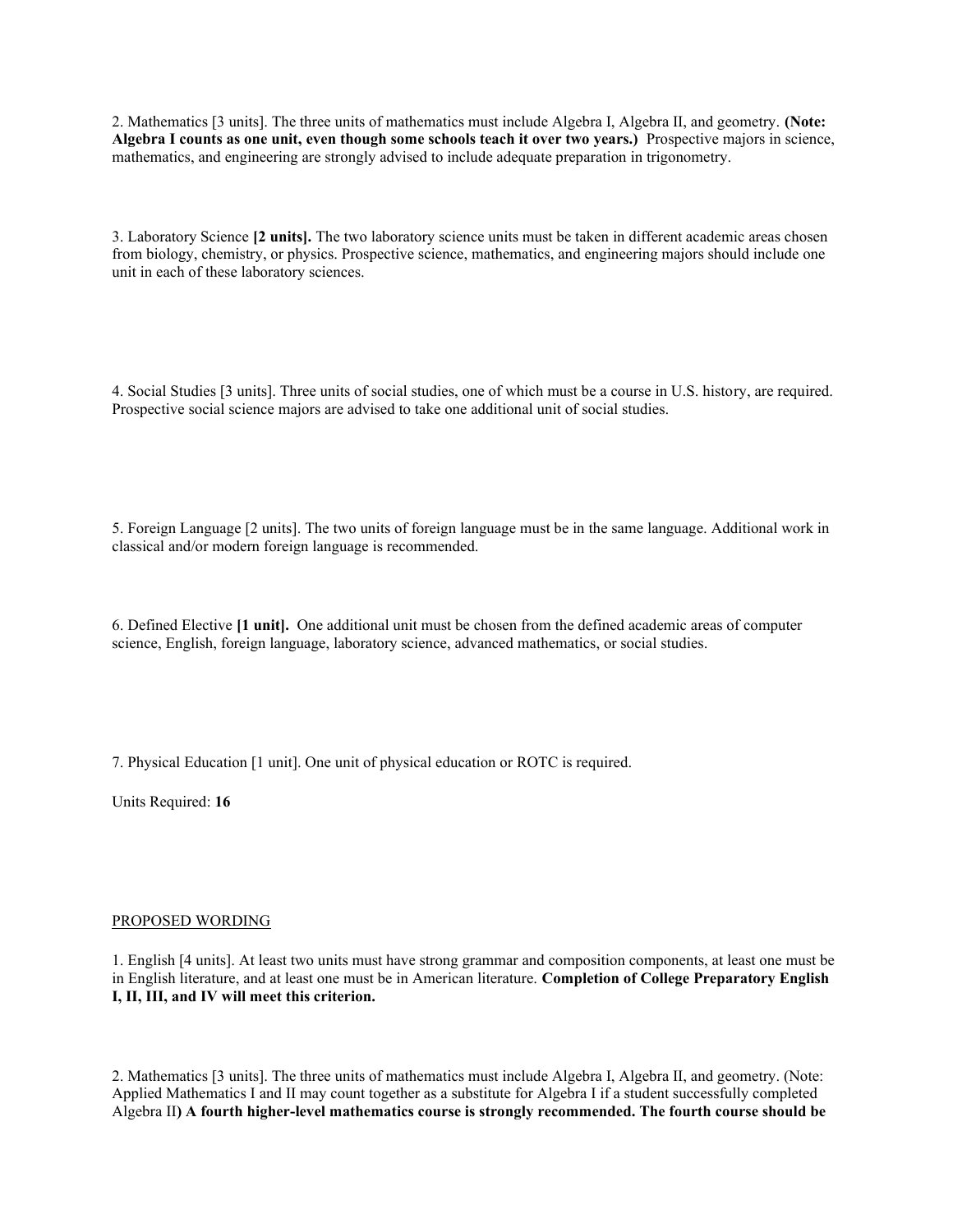2. Mathematics [3 units]. The three units of mathematics must include Algebra I, Algebra II, and geometry. **(Note: Algebra I counts as one unit, even though some schools teach it over two years.)** Prospective majors in science, mathematics, and engineering are strongly advised to include adequate preparation in trigonometry.

3. Laboratory Science **[2 units].** The two laboratory science units must be taken in different academic areas chosen from biology, chemistry, or physics. Prospective science, mathematics, and engineering majors should include one unit in each of these laboratory sciences.

4. Social Studies [3 units]. Three units of social studies, one of which must be a course in U.S. history, are required. Prospective social science majors are advised to take one additional unit of social studies.

5. Foreign Language [2 units]. The two units of foreign language must be in the same language. Additional work in classical and/or modern foreign language is recommended.

6. Defined Elective **[1 unit].** One additional unit must be chosen from the defined academic areas of computer science, English, foreign language, laboratory science, advanced mathematics, or social studies.

7. Physical Education [1 unit]. One unit of physical education or ROTC is required.

Units Required: **16**

#### PROPOSED WORDING

1. English [4 units]. At least two units must have strong grammar and composition components, at least one must be in English literature, and at least one must be in American literature. **Completion of College Preparatory English I, II, III, and IV will meet this criterion.**

2. Mathematics [3 units]. The three units of mathematics must include Algebra I, Algebra II, and geometry. (Note: Applied Mathematics I and II may count together as a substitute for Algebra I if a student successfully completed Algebra II**) A fourth higher-level mathematics course is strongly recommended. The fourth course should be**